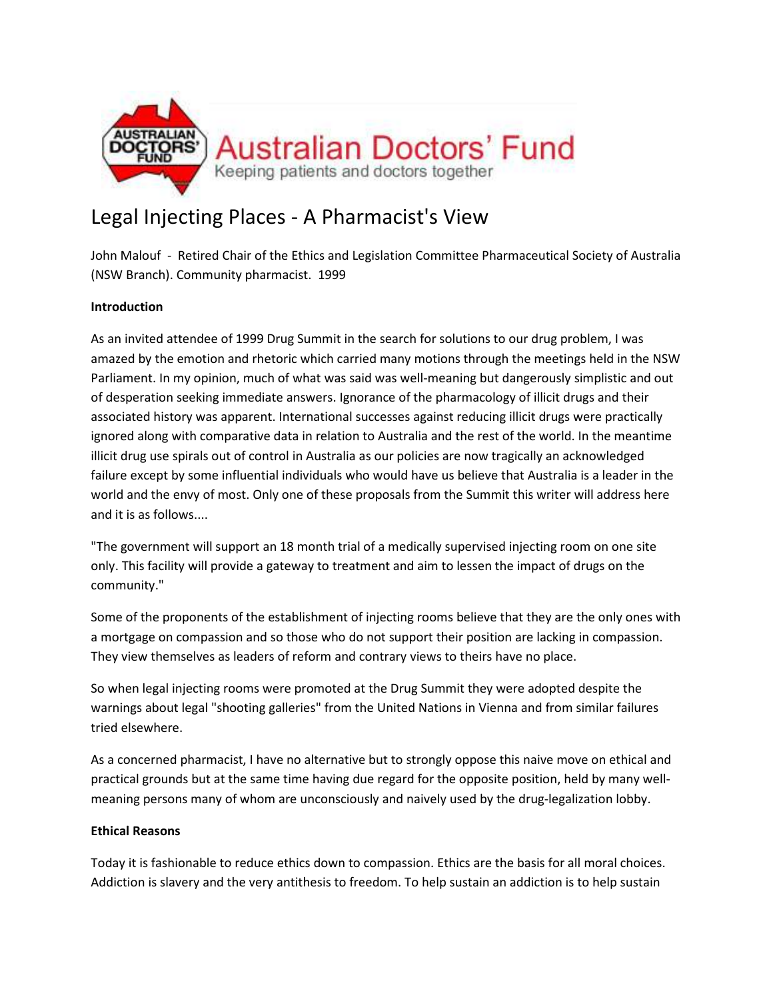

## Legal Injecting Places - A Pharmacist's View

John Malouf - Retired Chair of the Ethics and Legislation Committee Pharmaceutical Society of Australia (NSW Branch). Community pharmacist. 1999

## **Introduction**

As an invited attendee of 1999 Drug Summit in the search for solutions to our drug problem, I was amazed by the emotion and rhetoric which carried many motions through the meetings held in the NSW Parliament. In my opinion, much of what was said was well-meaning but dangerously simplistic and out of desperation seeking immediate answers. Ignorance of the pharmacology of illicit drugs and their associated history was apparent. International successes against reducing illicit drugs were practically ignored along with comparative data in relation to Australia and the rest of the world. In the meantime illicit drug use spirals out of control in Australia as our policies are now tragically an acknowledged failure except by some influential individuals who would have us believe that Australia is a leader in the world and the envy of most. Only one of these proposals from the Summit this writer will address here and it is as follows....

"The government will support an 18 month trial of a medically supervised injecting room on one site only. This facility will provide a gateway to treatment and aim to lessen the impact of drugs on the community."

Some of the proponents of the establishment of injecting rooms believe that they are the only ones with a mortgage on compassion and so those who do not support their position are lacking in compassion. They view themselves as leaders of reform and contrary views to theirs have no place.

So when legal injecting rooms were promoted at the Drug Summit they were adopted despite the warnings about legal "shooting galleries" from the United Nations in Vienna and from similar failures tried elsewhere.

As a concerned pharmacist, I have no alternative but to strongly oppose this naive move on ethical and practical grounds but at the same time having due regard for the opposite position, held by many wellmeaning persons many of whom are unconsciously and naively used by the drug-legalization lobby.

## **Ethical Reasons**

Today it is fashionable to reduce ethics down to compassion. Ethics are the basis for all moral choices. Addiction is slavery and the very antithesis to freedom. To help sustain an addiction is to help sustain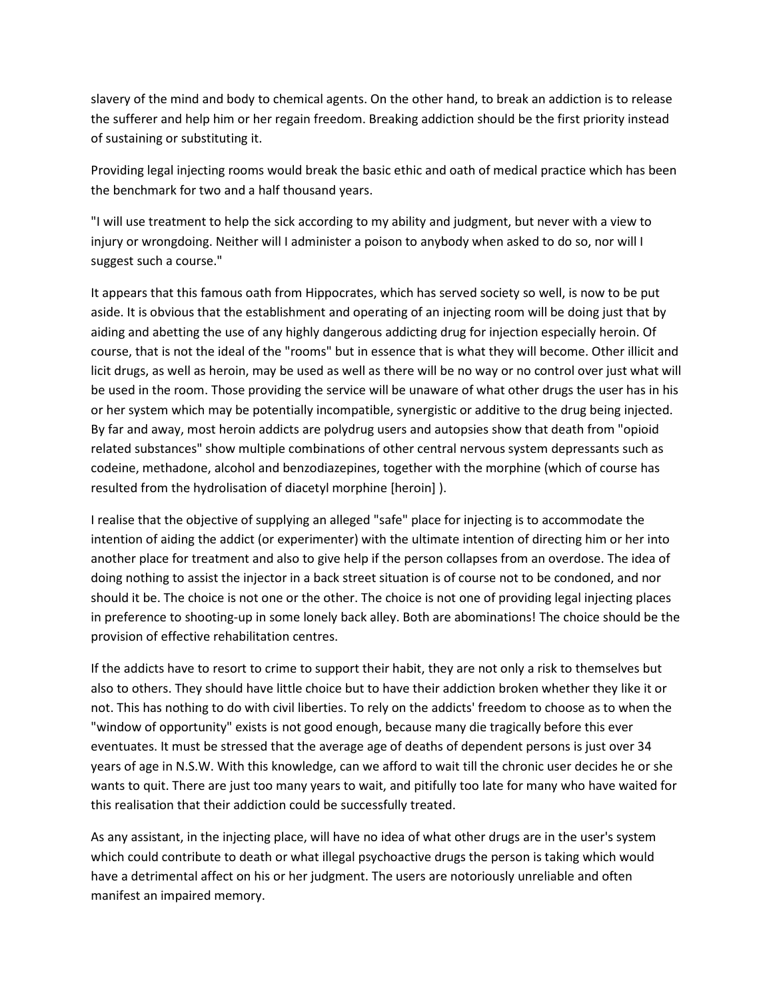slavery of the mind and body to chemical agents. On the other hand, to break an addiction is to release the sufferer and help him or her regain freedom. Breaking addiction should be the first priority instead of sustaining or substituting it.

Providing legal injecting rooms would break the basic ethic and oath of medical practice which has been the benchmark for two and a half thousand years.

"I will use treatment to help the sick according to my ability and judgment, but never with a view to injury or wrongdoing. Neither will I administer a poison to anybody when asked to do so, nor will I suggest such a course."

It appears that this famous oath from Hippocrates, which has served society so well, is now to be put aside. It is obvious that the establishment and operating of an injecting room will be doing just that by aiding and abetting the use of any highly dangerous addicting drug for injection especially heroin. Of course, that is not the ideal of the "rooms" but in essence that is what they will become. Other illicit and licit drugs, as well as heroin, may be used as well as there will be no way or no control over just what will be used in the room. Those providing the service will be unaware of what other drugs the user has in his or her system which may be potentially incompatible, synergistic or additive to the drug being injected. By far and away, most heroin addicts are polydrug users and autopsies show that death from "opioid related substances" show multiple combinations of other central nervous system depressants such as codeine, methadone, alcohol and benzodiazepines, together with the morphine (which of course has resulted from the hydrolisation of diacetyl morphine [heroin] ).

I realise that the objective of supplying an alleged "safe" place for injecting is to accommodate the intention of aiding the addict (or experimenter) with the ultimate intention of directing him or her into another place for treatment and also to give help if the person collapses from an overdose. The idea of doing nothing to assist the injector in a back street situation is of course not to be condoned, and nor should it be. The choice is not one or the other. The choice is not one of providing legal injecting places in preference to shooting-up in some lonely back alley. Both are abominations! The choice should be the provision of effective rehabilitation centres.

If the addicts have to resort to crime to support their habit, they are not only a risk to themselves but also to others. They should have little choice but to have their addiction broken whether they like it or not. This has nothing to do with civil liberties. To rely on the addicts' freedom to choose as to when the "window of opportunity" exists is not good enough, because many die tragically before this ever eventuates. It must be stressed that the average age of deaths of dependent persons is just over 34 years of age in N.S.W. With this knowledge, can we afford to wait till the chronic user decides he or she wants to quit. There are just too many years to wait, and pitifully too late for many who have waited for this realisation that their addiction could be successfully treated.

As any assistant, in the injecting place, will have no idea of what other drugs are in the user's system which could contribute to death or what illegal psychoactive drugs the person is taking which would have a detrimental affect on his or her judgment. The users are notoriously unreliable and often manifest an impaired memory.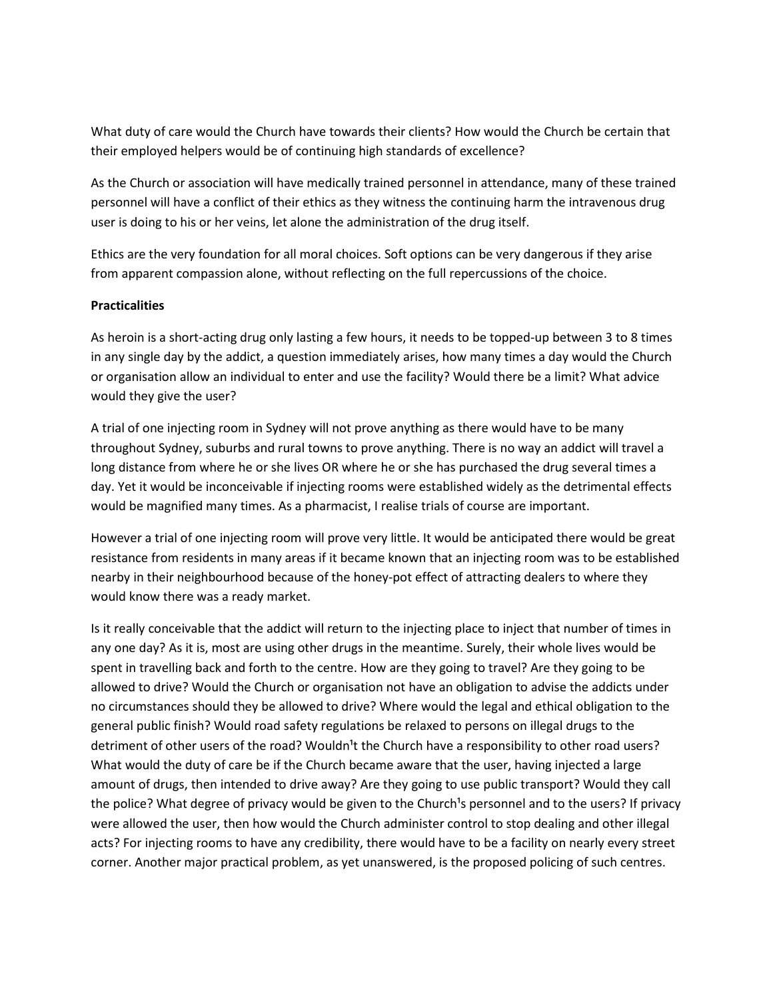What duty of care would the Church have towards their clients? How would the Church be certain that their employed helpers would be of continuing high standards of excellence?

As the Church or association will have medically trained personnel in attendance, many of these trained personnel will have a conflict of their ethics as they witness the continuing harm the intravenous drug user is doing to his or her veins, let alone the administration of the drug itself.

Ethics are the very foundation for all moral choices. Soft options can be very dangerous if they arise from apparent compassion alone, without reflecting on the full repercussions of the choice.

## **Practicalities**

As heroin is a short-acting drug only lasting a few hours, it needs to be topped-up between 3 to 8 times in any single day by the addict, a question immediately arises, how many times a day would the Church or organisation allow an individual to enter and use the facility? Would there be a limit? What advice would they give the user?

A trial of one injecting room in Sydney will not prove anything as there would have to be many throughout Sydney, suburbs and rural towns to prove anything. There is no way an addict will travel a long distance from where he or she lives OR where he or she has purchased the drug several times a day. Yet it would be inconceivable if injecting rooms were established widely as the detrimental effects would be magnified many times. As a pharmacist, I realise trials of course are important.

However a trial of one injecting room will prove very little. It would be anticipated there would be great resistance from residents in many areas if it became known that an injecting room was to be established nearby in their neighbourhood because of the honey-pot effect of attracting dealers to where they would know there was a ready market.

Is it really conceivable that the addict will return to the injecting place to inject that number of times in any one day? As it is, most are using other drugs in the meantime. Surely, their whole lives would be spent in travelling back and forth to the centre. How are they going to travel? Are they going to be allowed to drive? Would the Church or organisation not have an obligation to advise the addicts under no circumstances should they be allowed to drive? Where would the legal and ethical obligation to the general public finish? Would road safety regulations be relaxed to persons on illegal drugs to the detriment of other users of the road? Wouldn<sup>1</sup>t the Church have a responsibility to other road users? What would the duty of care be if the Church became aware that the user, having injected a large amount of drugs, then intended to drive away? Are they going to use public transport? Would they call the police? What degree of privacy would be given to the Church<sup>1</sup>s personnel and to the users? If privacy were allowed the user, then how would the Church administer control to stop dealing and other illegal acts? For injecting rooms to have any credibility, there would have to be a facility on nearly every street corner. Another major practical problem, as yet unanswered, is the proposed policing of such centres.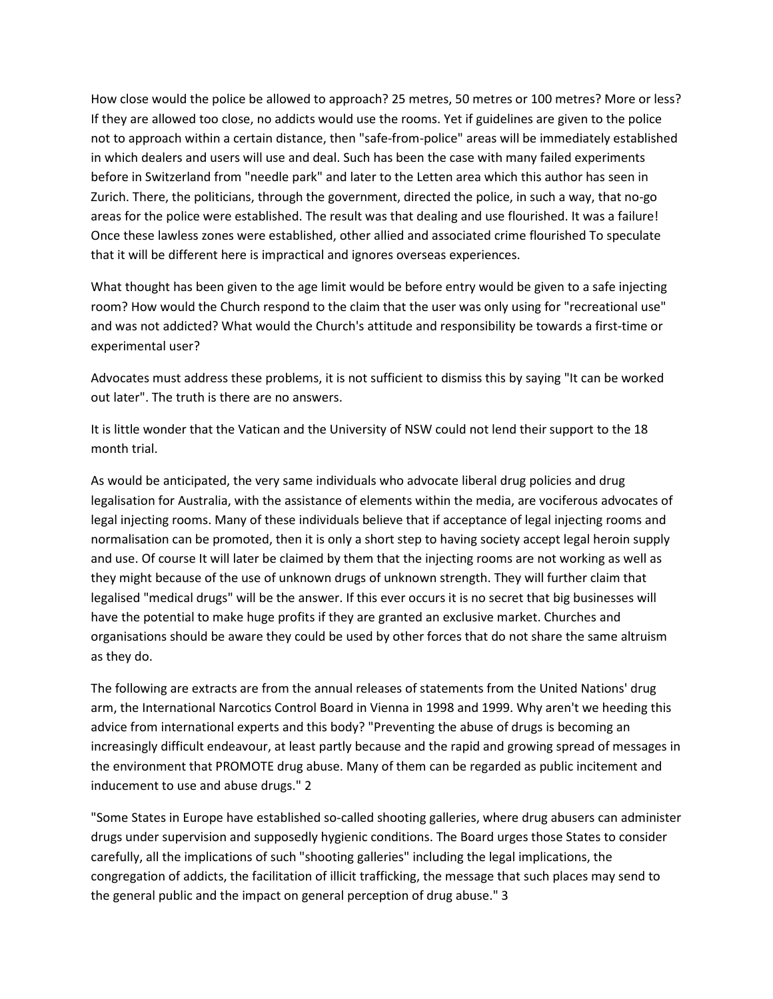How close would the police be allowed to approach? 25 metres, 50 metres or 100 metres? More or less? If they are allowed too close, no addicts would use the rooms. Yet if guidelines are given to the police not to approach within a certain distance, then "safe-from-police" areas will be immediately established in which dealers and users will use and deal. Such has been the case with many failed experiments before in Switzerland from "needle park" and later to the Letten area which this author has seen in Zurich. There, the politicians, through the government, directed the police, in such a way, that no-go areas for the police were established. The result was that dealing and use flourished. It was a failure! Once these lawless zones were established, other allied and associated crime flourished To speculate that it will be different here is impractical and ignores overseas experiences.

What thought has been given to the age limit would be before entry would be given to a safe injecting room? How would the Church respond to the claim that the user was only using for "recreational use" and was not addicted? What would the Church's attitude and responsibility be towards a first-time or experimental user?

Advocates must address these problems, it is not sufficient to dismiss this by saying "It can be worked out later". The truth is there are no answers.

It is little wonder that the Vatican and the University of NSW could not lend their support to the 18 month trial.

As would be anticipated, the very same individuals who advocate liberal drug policies and drug legalisation for Australia, with the assistance of elements within the media, are vociferous advocates of legal injecting rooms. Many of these individuals believe that if acceptance of legal injecting rooms and normalisation can be promoted, then it is only a short step to having society accept legal heroin supply and use. Of course It will later be claimed by them that the injecting rooms are not working as well as they might because of the use of unknown drugs of unknown strength. They will further claim that legalised "medical drugs" will be the answer. If this ever occurs it is no secret that big businesses will have the potential to make huge profits if they are granted an exclusive market. Churches and organisations should be aware they could be used by other forces that do not share the same altruism as they do.

The following are extracts are from the annual releases of statements from the United Nations' drug arm, the International Narcotics Control Board in Vienna in 1998 and 1999. Why aren't we heeding this advice from international experts and this body? "Preventing the abuse of drugs is becoming an increasingly difficult endeavour, at least partly because and the rapid and growing spread of messages in the environment that PROMOTE drug abuse. Many of them can be regarded as public incitement and inducement to use and abuse drugs." 2

"Some States in Europe have established so-called shooting galleries, where drug abusers can administer drugs under supervision and supposedly hygienic conditions. The Board urges those States to consider carefully, all the implications of such "shooting galleries" including the legal implications, the congregation of addicts, the facilitation of illicit trafficking, the message that such places may send to the general public and the impact on general perception of drug abuse." 3